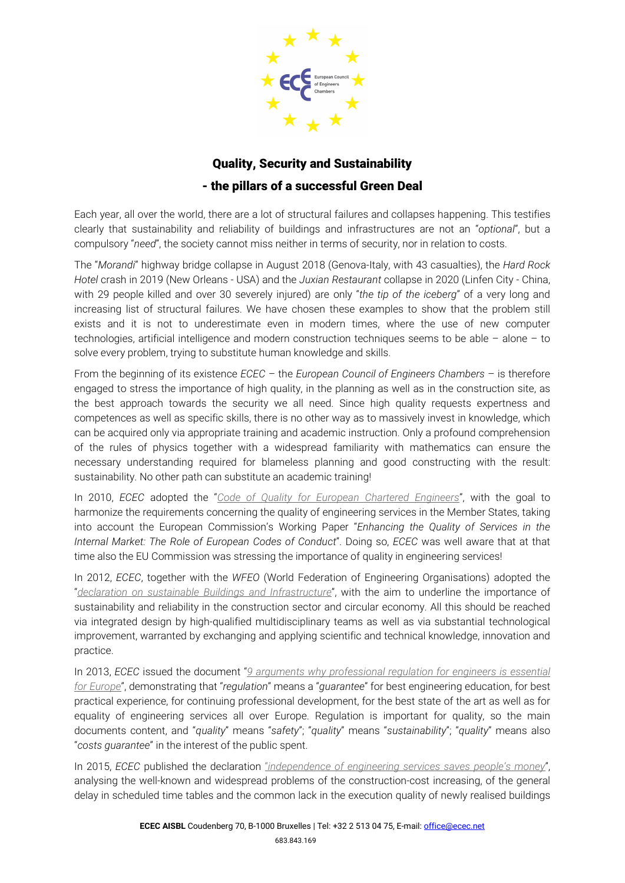

## Quality, Security and Sustainability - the pillars of a successful Green Deal

Each year, all over the world, there are a lot of structural failures and collapses happening. This testifies clearly that sustainability and reliability of buildings and infrastructures are not an "*optional*", but a compulsory "*need*", the society cannot miss neither in terms of security, nor in relation to costs.

The "*Morandi*" highway bridge collapse in August 2018 (Genova-Italy, with 43 casualties), the *Hard Rock Hotel* crash in 2019 (New Orleans - USA) and the *Juxian Restaurant* collapse in 2020 (Linfen City - China, with 29 people killed and over 30 severely injured) are only "*the tip of the iceberg*" of a very long and increasing list of structural failures. We have chosen these examples to show that the problem still exists and it is not to underestimate even in modern times, where the use of new computer technologies, artificial intelligence and modern construction techniques seems to be able – alone – to solve every problem, trying to substitute human knowledge and skills.

From the beginning of its existence *ECEC* – the *European Council of Engineers Chambers* – is therefore engaged to stress the importance of high quality, in the planning as well as in the construction site, as the best approach towards the security we all need. Since high quality requests expertness and competences as well as specific skills, there is no other way as to massively invest in knowledge, which can be acquired only via appropriate training and academic instruction. Only a profound comprehension of the rules of physics together with a widespread familiarity with mathematics can ensure the necessary understanding required for blameless planning and good constructing with the result: sustainability. No other path can substitute an academic training!

In 2010, *ECEC* adopted the "*[Code of Quality for European Chartered Engineers](https://www.ecec.net/fileadmin/user_upload/ECEC_Code_of_Quality.pdf)*", with the goal to harmonize the requirements concerning the quality of engineering services in the Member States, taking into account the European Commission's Working Paper "*Enhancing the Quality of Services in the Internal Market: The Role of European Codes of Conduct*". Doing so, *ECEC* was well aware that at that time also the EU Commission was stressing the importance of quality in engineering services!

In 2012, *ECEC*, together with the *WFEO* (World Federation of Engineering Organisations) adopted the "*declaration on sustainable Buildings and Infrastructure*", with the aim to underline the importance of sustainability and reliability in the construction sector and circular economy. All this should be reached via integrated design by high-qualified multidisciplinary teams as well as via substantial technological improvement, warranted by exchanging and applying scientific and technical knowledge, innovation and practice.

In 2013, *ECEC* issued the document "*[9 arguments why professional regulation for engineers is essential](https://www.ecec.net/fileadmin/user_upload/9_Arguments_2013.pdf)  [for Europe](https://www.ecec.net/fileadmin/user_upload/9_Arguments_2013.pdf)*", demonstrating that "*regulation*" means a "*guarantee*" for best engineering education, for best practical experience, for continuing professional development, for the best state of the art as well as for equality of engineering services all over Europe. Regulation is important for quality, so the main documents content, and "*quality*" means "*safety*"; "*quality*" means "*sustainability*"; "*quality*" means also "*costs guarantee*" in the interest of the public spent.

In 2015, *ECEC* published the declaration "*[independence of engineering services saves people's money](https://www.ecec.net/fileadmin/user_upload/ECEC_Declaration_on_Performance_Profiles_2015.pdf)*", analysing the well-known and widespread problems of the construction-cost increasing, of the general delay in scheduled time tables and the common lack in the execution quality of newly realised buildings